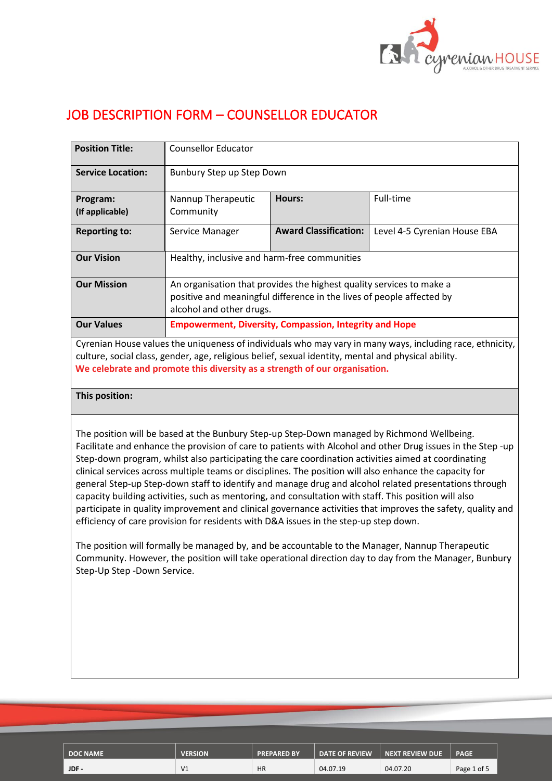

# JOB DESCRIPTION FORM – COUNSELLOR EDUCATOR

| <b>Position Title:</b>      | <b>Counsellor Educator</b>                                                                                                                                                |                              |                                                                                                           |  |  |
|-----------------------------|---------------------------------------------------------------------------------------------------------------------------------------------------------------------------|------------------------------|-----------------------------------------------------------------------------------------------------------|--|--|
| <b>Service Location:</b>    | Bunbury Step up Step Down                                                                                                                                                 |                              |                                                                                                           |  |  |
| Program:<br>(If applicable) | Nannup Therapeutic<br>Community                                                                                                                                           | Hours:                       | Full-time                                                                                                 |  |  |
| <b>Reporting to:</b>        | Service Manager                                                                                                                                                           | <b>Award Classification:</b> | Level 4-5 Cyrenian House EBA                                                                              |  |  |
| <b>Our Vision</b>           | Healthy, inclusive and harm-free communities                                                                                                                              |                              |                                                                                                           |  |  |
| <b>Our Mission</b>          | An organisation that provides the highest quality services to make a<br>positive and meaningful difference in the lives of people affected by<br>alcohol and other drugs. |                              |                                                                                                           |  |  |
| <b>Our Values</b>           | <b>Empowerment, Diversity, Compassion, Integrity and Hope</b>                                                                                                             |                              |                                                                                                           |  |  |
|                             |                                                                                                                                                                           |                              | Cyrenian House values the uniqueness of individuals who may vary in many ways, including race, ethnicity, |  |  |

culture, social class, gender, age, religious belief, sexual identity, mental and physical ability. **We celebrate and promote this diversity as a strength of our organisation.**

# **This position:**

The position will be based at the Bunbury Step-up Step-Down managed by Richmond Wellbeing. Facilitate and enhance the provision of care to patients with Alcohol and other Drug issues in the Step -up Step-down program, whilst also participating the care coordination activities aimed at coordinating clinical services across multiple teams or disciplines. The position will also enhance the capacity for general Step-up Step-down staff to identify and manage drug and alcohol related presentations through capacity building activities, such as mentoring, and consultation with staff. This position will also participate in quality improvement and clinical governance activities that improves the safety, quality and efficiency of care provision for residents with D&A issues in the step-up step down.

The position will formally be managed by, and be accountable to the Manager, Nannup Therapeutic Community. However, the position will take operational direction day to day from the Manager, Bunbury Step-Up Step -Down Service.

| <b>DOC NAME</b> | <b>VERSION</b> | <b>PREPARED BY</b> | <b>DATE OF REVIEW</b> | <b>NEXT REVIEW DUE</b> | <b>PAGE</b> |
|-----------------|----------------|--------------------|-----------------------|------------------------|-------------|
| JDF-            | V <sub>1</sub> | <b>HR</b>          | 04.07.19              | 04.07.20               | Page 1 of 5 |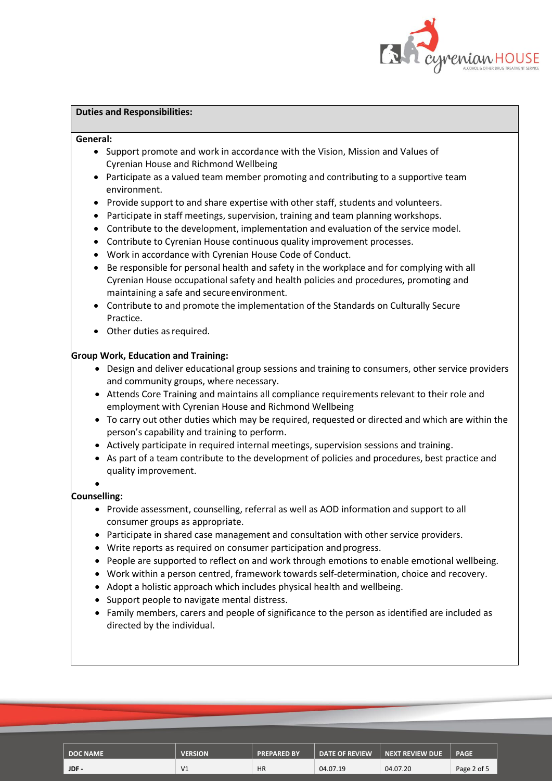

#### **Duties and Responsibilities:**

#### **General:**

- Support promote and work in accordance with the Vision, Mission and Values of Cyrenian House and Richmond Wellbeing
- Participate as a valued team member promoting and contributing to a supportive team environment.
- Provide support to and share expertise with other staff, students and volunteers.
- Participate in staff meetings, supervision, training and team planning workshops.
- Contribute to the development, implementation and evaluation of the service model.
- Contribute to Cyrenian House continuous quality improvement processes.
- Work in accordance with Cyrenian House Code of Conduct.
- Be responsible for personal health and safety in the workplace and for complying with all Cyrenian House occupational safety and health policies and procedures, promoting and maintaining a safe and secure environment.
- Contribute to and promote the implementation of the Standards on Culturally Secure Practice.
- Other duties as required.

# **Group Work, Education and Training:**

- Design and deliver educational group sessions and training to consumers, other service providers and community groups, where necessary.
- Attends Core Training and maintains all compliance requirements relevant to their role and employment with Cyrenian House and Richmond Wellbeing
- To carry out other duties which may be required, requested or directed and which are within the person's capability and training to perform.
- Actively participate in required internal meetings, supervision sessions and training.
- As part of a team contribute to the development of policies and procedures, best practice and quality improvement.
- •

### **Counselling:**

- Provide assessment, counselling, referral as well as AOD information and support to all consumer groups as appropriate.
- Participate in shared case management and consultation with other service providers.
- Write reports as required on consumer participation and progress.
- People are supported to reflect on and work through emotions to enable emotional wellbeing.
- Work within a person centred, framework towards self-determination, choice and recovery.
- Adopt a holistic approach which includes physical health and wellbeing.
- Support people to navigate mental distress.
- Family members, carers and people of significance to the person as identified are included as directed by the individual.

| <b>DOC NAME</b> | <b>VERSION</b> | <b>PREPARED BY</b> | <b>DATE OF REVIEW</b> | <b>NEXT REVIEW DUE</b> | <b>PAGE</b> |
|-----------------|----------------|--------------------|-----------------------|------------------------|-------------|
| JDF-            | V <sub>1</sub> | <b>HR</b>          | 04.07.19              | 04.07.20               | Page 2 of 5 |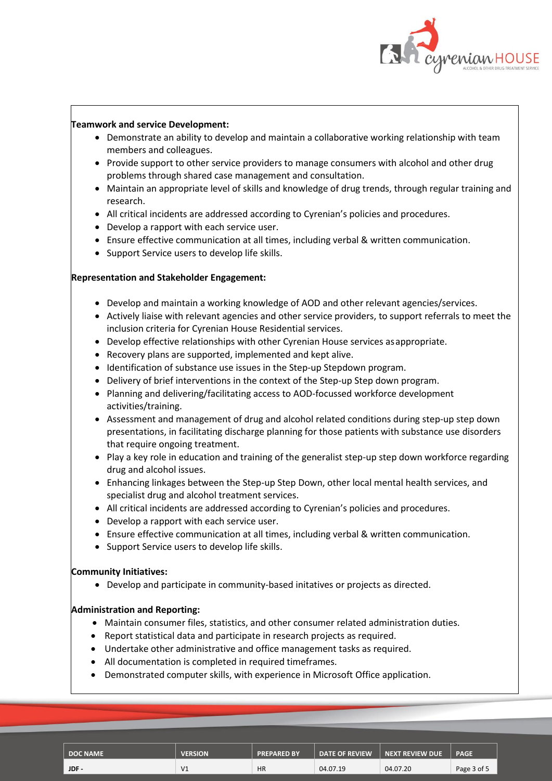

# **Teamwork and service Development:**

- Demonstrate an ability to develop and maintain a collaborative working relationship with team members and colleagues.
- Provide support to other service providers to manage consumers with alcohol and other drug problems through shared case management and consultation.
- Maintain an appropriate level of skills and knowledge of drug trends, through regular training and research.
- All critical incidents are addressed according to Cyrenian's policies and procedures.
- Develop a rapport with each service user.
- Ensure effective communication at all times, including verbal & written communication.
- Support Service users to develop life skills.

### **Representation and Stakeholder Engagement:**

- Develop and maintain a working knowledge of AOD and other relevant agencies/services.
- Actively liaise with relevant agencies and other service providers, to support referrals to meet the inclusion criteria for Cyrenian House Residential services.
- Develop effective relationships with other Cyrenian House services as appropriate.
- Recovery plans are supported, implemented and kept alive.
- Identification of substance use issues in the Step-up Stepdown program.
- Delivery of brief interventions in the context of the Step-up Step down program.
- Planning and delivering/facilitating access to AOD-focussed workforce development activities/training.
- Assessment and management of drug and alcohol related conditions during step-up step down presentations, in facilitating discharge planning for those patients with substance use disorders that require ongoing treatment.
- Play a key role in education and training of the generalist step-up step down workforce regarding drug and alcohol issues.
- Enhancing linkages between the Step-up Step Down, other local mental health services, and specialist drug and alcohol treatment services.
- All critical incidents are addressed according to Cyrenian's policies and procedures.
- Develop a rapport with each service user.
- Ensure effective communication at all times, including verbal & written communication.
- Support Service users to develop life skills.

### **Community Initiatives:**

• Develop and participate in community-based initatives or projects as directed.

### **Administration and Reporting:**

- Maintain consumer files, statistics, and other consumer related administration duties.
- Report statistical data and participate in research projects as required.
- Undertake other administrative and office management tasks as required.
- All documentation is completed in required timeframes.
- Demonstrated computer skills, with experience in Microsoft Office application.

| <b>DOC NAME</b> | <b>VERSION</b> | <b>PREPARED BY</b> | <b>DATE OF REVIEW</b> | <b>NEXT REVIEW DUE</b> | <b>PAGE</b> |
|-----------------|----------------|--------------------|-----------------------|------------------------|-------------|
| JDF-            | V <sub>1</sub> | <b>HR</b>          | 04.07.19              | 04.07.20               | Page 3 of 5 |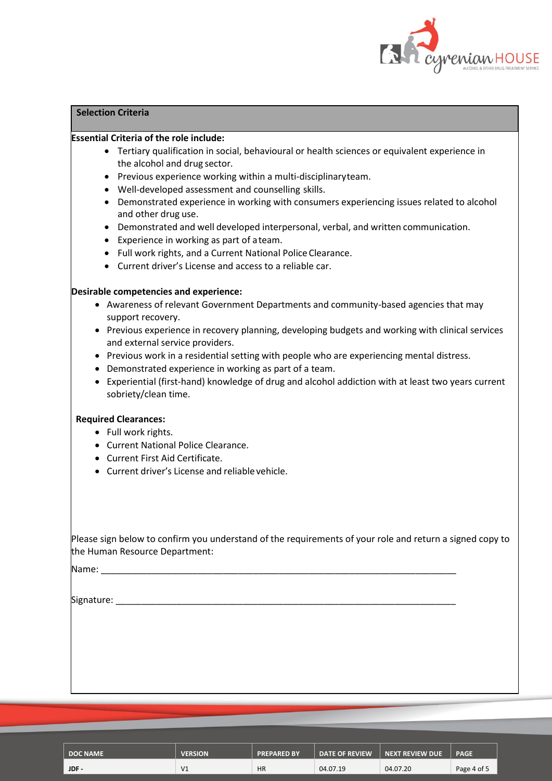

# **Selection Criteria**

#### **Essential Criteria of the role include:**

- Tertiary qualification in social, behavioural or health sciences or equivalent experience in the alcohol and drug sector.
- Previous experience working within a multi-disciplinary team.
- Well-developed assessment and counselling skills.
- Demonstrated experience in working with consumers experiencing issues related to alcohol and other drug use.
- Demonstrated and well developed interpersonal, verbal, and written communication.
- Experience in working as part of a team.
- Full work rights, and a Current National Police Clearance.
- Current driver's License and access to a reliable car.

#### **Desirable competencies and experience:**

- Awareness of relevant Government Departments and community-based agencies that may support recovery.
- Previous experience in recovery planning, developing budgets and working with clinical services and external service providers.
- Previous work in a residential setting with people who are experiencing mental distress.
- Demonstrated experience in working as part of a team.
- Experiential (first-hand) knowledge of drug and alcohol addiction with at least two years current sobriety/clean time.

#### **Required Clearances:**

- Full work rights.
- Current National Police Clearance.
- Current First Aid Certificate.
- Current driver's License and reliable vehicle.

Please sign below to confirm you understand of the requirements of your role and return a signed copy to the Human Resource Department:

Name: \_\_\_\_\_\_\_\_\_\_\_\_\_\_\_\_\_\_\_\_\_\_\_\_\_\_\_\_\_\_\_\_\_\_\_\_\_\_\_\_\_\_\_\_\_\_\_\_\_\_\_\_\_\_\_\_\_\_\_\_\_\_\_\_\_\_\_\_\_\_

Signature:

| <b>DOC NAME</b> | <b>VERSION</b> | <b>PREPARED BY</b> | <b>DATE OF REVIEW</b> | NEXT REVIEW DUE | <b>PAGE</b> |
|-----------------|----------------|--------------------|-----------------------|-----------------|-------------|
| JDF -           | V <sub>1</sub> | <b>HR</b>          | 04.07.19              | 04.07.20        | Page 4 of 5 |